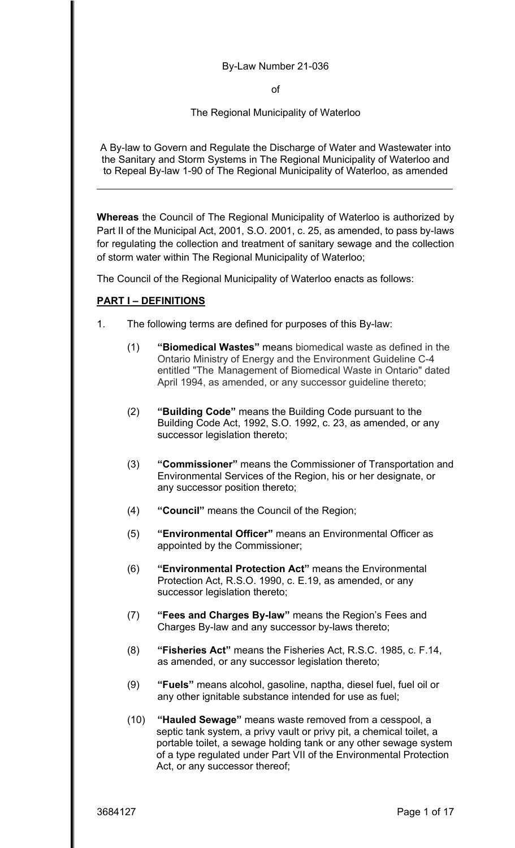#### By-Law Number 21-036

of

The Regional Municipality of Waterloo

A By-law to Govern and Regulate the Discharge of Water and Wastewater into the Sanitary and Storm Systems in The Regional Municipality of Waterloo and to Repeal By-law 1-90 of The Regional Municipality of Waterloo, as amended

**Whereas** the Council of The Regional Municipality of Waterloo is authorized by Part II of the Municipal Act, 2001, S.O. 2001, c. 25, as amended, to pass by-laws for regulating the collection and treatment of sanitary sewage and the collection of storm water within The Regional Municipality of Waterloo;

The Council of the Regional Municipality of Waterloo enacts as follows:

## **PART I – DEFINITIONS**

- 1. The following terms are defined for purposes of this By-law:
	- (1) **"Biomedical Wastes"** means biomedical waste as defined in the Ontario Ministry of Energy and the Environment Guideline C-4 entitled "The Management of Biomedical Waste in Ontario" dated April 1994, as amended, or any successor guideline thereto;
	- (2) **"Building Code"** means the Building Code pursuant to the Building Code Act, 1992, S.O. 1992, c. 23, as amended, or any successor legislation thereto;
	- (3) **"Commissioner"** means the Commissioner of Transportation and Environmental Services of the Region, his or her designate, or any successor position thereto;
	- (4) **"Council"** means the Council of the Region;
	- (5) **"Environmental Officer"** means an Environmental Officer as appointed by the Commissioner;
	- (6) **"Environmental Protection Act"** means the Environmental Protection Act, R.S.O. 1990, c. E.19, as amended, or any successor legislation thereto;
	- (7) **"Fees and Charges By-law"** means the Region's Fees and Charges By-law and any successor by-laws thereto;
	- (8) **"Fisheries Act"** means the Fisheries Act, R.S.C. 1985, c. F.14, as amended, or any successor legislation thereto;
	- (9) **"Fuels"** means alcohol, gasoline, naptha, diesel fuel, fuel oil or any other ignitable substance intended for use as fuel;
	- (10) **"Hauled Sewage"** means waste removed from a cesspool, a septic tank system, a privy vault or privy pit, a chemical toilet, a portable toilet, a sewage holding tank or any other sewage system of a type regulated under Part VII of the Environmental Protection Act, or any successor thereof;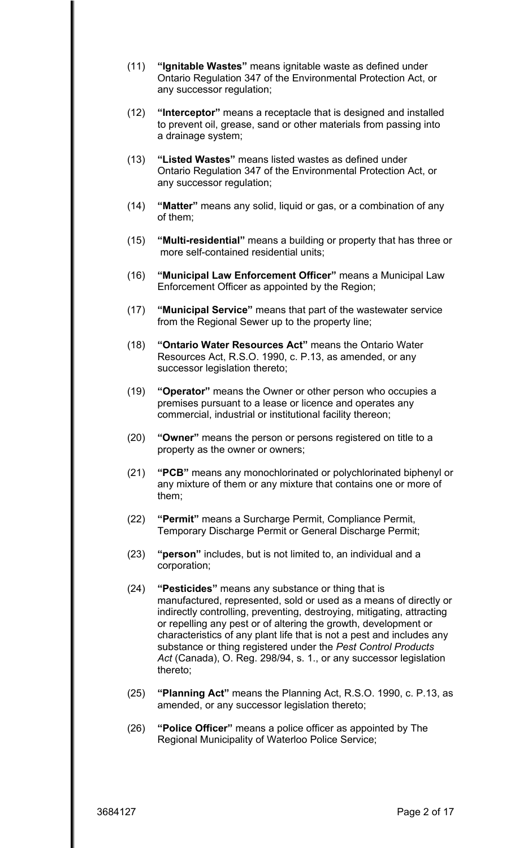- (11) **"Ignitable Wastes"** means ignitable waste as defined under Ontario Regulation 347 of the Environmental Protection Act, or any successor regulation;
- (12) **"Interceptor"** means a receptacle that is designed and installed to prevent oil, grease, sand or other materials from passing into a drainage system;
- (13) **"Listed Wastes"** means listed wastes as defined under Ontario Regulation 347 of the Environmental Protection Act, or any successor regulation;
- (14) **"Matter"** means any solid, liquid or gas, or a combination of any of them;
- (15) **"Multi-residential"** means a building or property that has three or more self-contained residential units;
- (16) **"Municipal Law Enforcement Officer"** means a Municipal Law Enforcement Officer as appointed by the Region;
- (17) **"Municipal Service"** means that part of the wastewater service from the Regional Sewer up to the property line;
- (18) **"Ontario Water Resources Act"** means the Ontario Water Resources Act, R.S.O. 1990, c. P.13, as amended, or any successor legislation thereto;
- (19) **"Operator"** means the Owner or other person who occupies a premises pursuant to a lease or licence and operates any commercial, industrial or institutional facility thereon;
- (20) **"Owner"** means the person or persons registered on title to a property as the owner or owners;
- (21) **"PCB"** means any monochlorinated or polychlorinated biphenyl or any mixture of them or any mixture that contains one or more of them;
- (22) **"Permit"** means a Surcharge Permit, Compliance Permit, Temporary Discharge Permit or General Discharge Permit;
- (23) **"person"** includes, but is not limited to, an individual and a corporation;
- (24) **"Pesticides"** means any substance or thing that is manufactured, represented, sold or used as a means of directly or indirectly controlling, preventing, destroying, mitigating, attracting or repelling any pest or of altering the growth, development or characteristics of any plant life that is not a pest and includes any substance or thing registered under the *Pest Control Products Act* (Canada), O. Reg. 298/94, s. 1., or any successor legislation thereto;
- (25) **"Planning Act"** means the Planning Act, R.S.O. 1990, c. P.13, as amended, or any successor legislation thereto;
- (26) **"Police Officer"** means a police officer as appointed by The Regional Municipality of Waterloo Police Service;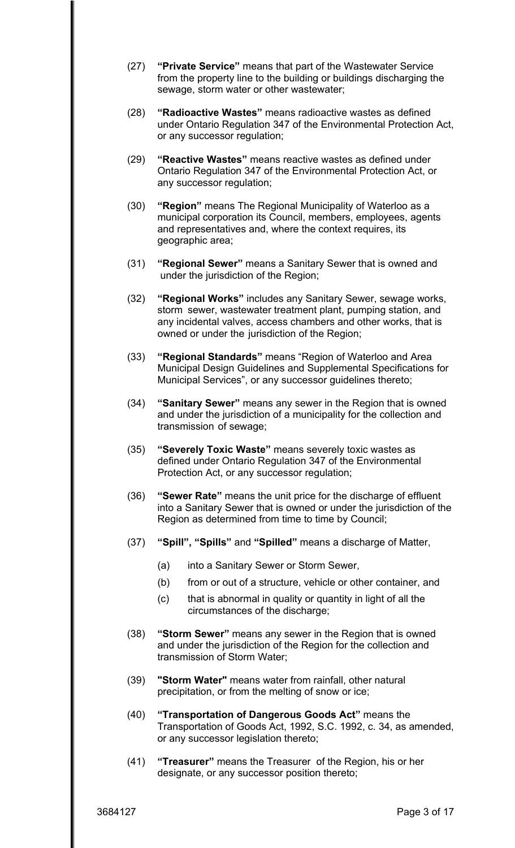- (27) **"Private Service"** means that part of the Wastewater Service from the property line to the building or buildings discharging the sewage, storm water or other wastewater;
- (28) **"Radioactive Wastes"** means radioactive wastes as defined under Ontario Regulation 347 of the Environmental Protection Act, or any successor regulation;
- (29) **"Reactive Wastes"** means reactive wastes as defined under Ontario Regulation 347 of the Environmental Protection Act, or any successor regulation;
- (30) **"Region"** means The Regional Municipality of Waterloo as a municipal corporation its Council, members, employees, agents and representatives and, where the context requires, its geographic area;
- (31) **"Regional Sewer"** means a Sanitary Sewer that is owned and under the jurisdiction of the Region;
- (32) **"Regional Works"** includes any Sanitary Sewer, sewage works, storm sewer, wastewater treatment plant, pumping station, and any incidental valves, access chambers and other works, that is owned or under the jurisdiction of the Region;
- (33) **"Regional Standards"** means "Region of Waterloo and Area Municipal Design Guidelines and Supplemental Specifications for Municipal Services", or any successor guidelines thereto;
- (34) **"Sanitary Sewer"** means any sewer in the Region that is owned and under the jurisdiction of a municipality for the collection and transmission of sewage;
- (35) **"Severely Toxic Waste"** means severely toxic wastes as defined under Ontario Regulation 347 of the Environmental Protection Act, or any successor regulation;
- (36) **"Sewer Rate"** means the unit price for the discharge of effluent into a Sanitary Sewer that is owned or under the jurisdiction of the Region as determined from time to time by Council;
- (37) **"Spill", "Spills"** and **"Spilled"** means a discharge of Matter,
	- (a) into a Sanitary Sewer or Storm Sewer,
	- (b) from or out of a structure, vehicle or other container, and
	- (c) that is abnormal in quality or quantity in light of all the circumstances of the discharge;
- (38) **"Storm Sewer"** means any sewer in the Region that is owned and under the jurisdiction of the Region for the collection and transmission of Storm Water;
- (39) **"Storm Water"** means water from rainfall, other natural precipitation, or from the melting of snow or ice;
- (40) **"Transportation of Dangerous Goods Act"** means the Transportation of Goods Act, 1992, S.C. 1992, c. 34, as amended, or any successor legislation thereto;
- (41) **"Treasurer"** means the Treasurer of the Region, his or her designate, or any successor position thereto;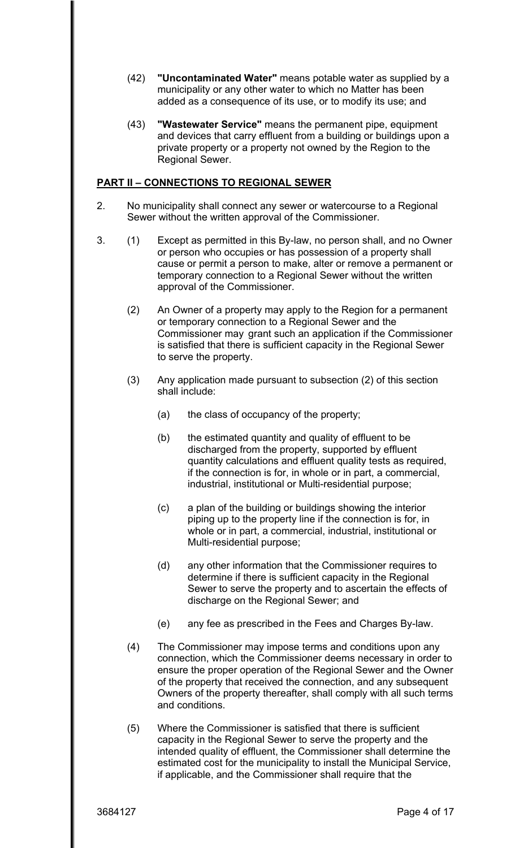- (42) **"Uncontaminated Water"** means potable water as supplied by a municipality or any other water to which no Matter has been added as a consequence of its use, or to modify its use; and
- (43) **"Wastewater Service"** means the permanent pipe, equipment and devices that carry effluent from a building or buildings upon a private property or a property not owned by the Region to the Regional Sewer.

## **PART II – CONNECTIONS TO REGIONAL SEWER**

- 2. No municipality shall connect any sewer or watercourse to a Regional Sewer without the written approval of the Commissioner.
- 3. (1) Except as permitted in this By-law, no person shall, and no Owner or person who occupies or has possession of a property shall cause or permit a person to make, alter or remove a permanent or temporary connection to a Regional Sewer without the written approval of the Commissioner.
	- (2) An Owner of a property may apply to the Region for a permanent or temporary connection to a Regional Sewer and the Commissioner may grant such an application if the Commissioner is satisfied that there is sufficient capacity in the Regional Sewer to serve the property.
	- (3) Any application made pursuant to subsection (2) of this section shall include:
		- (a) the class of occupancy of the property;
		- (b) the estimated quantity and quality of effluent to be discharged from the property, supported by effluent quantity calculations and effluent quality tests as required, if the connection is for, in whole or in part, a commercial, industrial, institutional or Multi-residential purpose;
		- (c) a plan of the building or buildings showing the interior piping up to the property line if the connection is for, in whole or in part, a commercial, industrial, institutional or Multi-residential purpose;
		- (d) any other information that the Commissioner requires to determine if there is sufficient capacity in the Regional Sewer to serve the property and to ascertain the effects of discharge on the Regional Sewer; and
		- (e) any fee as prescribed in the Fees and Charges By-law.
	- (4) The Commissioner may impose terms and conditions upon any connection, which the Commissioner deems necessary in order to ensure the proper operation of the Regional Sewer and the Owner of the property that received the connection, and any subsequent Owners of the property thereafter, shall comply with all such terms and conditions.
	- (5) Where the Commissioner is satisfied that there is sufficient capacity in the Regional Sewer to serve the property and the intended quality of effluent, the Commissioner shall determine the estimated cost for the municipality to install the Municipal Service, if applicable, and the Commissioner shall require that the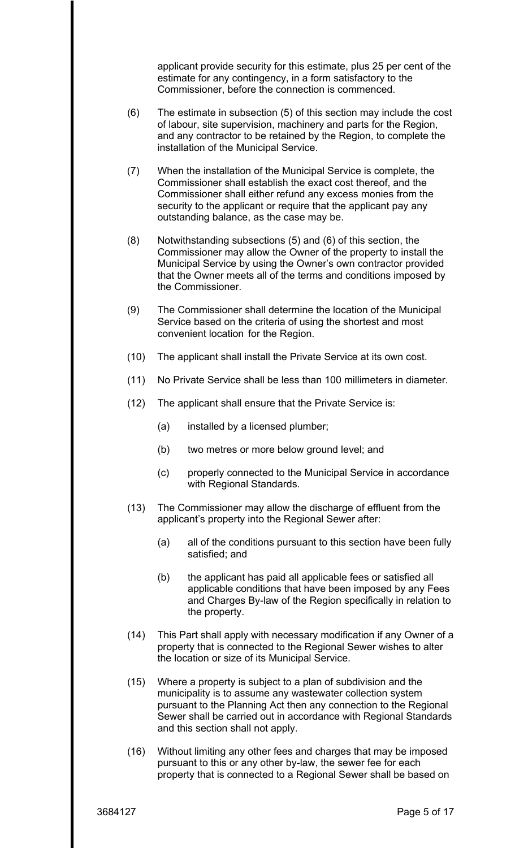applicant provide security for this estimate, plus 25 per cent of the estimate for any contingency, in a form satisfactory to the Commissioner, before the connection is commenced.

- (6) The estimate in subsection (5) of this section may include the cost of labour, site supervision, machinery and parts for the Region, and any contractor to be retained by the Region, to complete the installation of the Municipal Service.
- (7) When the installation of the Municipal Service is complete, the Commissioner shall establish the exact cost thereof, and the Commissioner shall either refund any excess monies from the security to the applicant or require that the applicant pay any outstanding balance, as the case may be.
- (8) Notwithstanding subsections (5) and (6) of this section, the Commissioner may allow the Owner of the property to install the Municipal Service by using the Owner's own contractor provided that the Owner meets all of the terms and conditions imposed by the Commissioner.
- (9) The Commissioner shall determine the location of the Municipal Service based on the criteria of using the shortest and most convenient location for the Region.
- (10) The applicant shall install the Private Service at its own cost.
- (11) No Private Service shall be less than 100 millimeters in diameter.
- (12) The applicant shall ensure that the Private Service is:
	- (a) installed by a licensed plumber;
	- (b) two metres or more below ground level; and
	- (c) properly connected to the Municipal Service in accordance with Regional Standards.
- (13) The Commissioner may allow the discharge of effluent from the applicant's property into the Regional Sewer after:
	- (a) all of the conditions pursuant to this section have been fully satisfied; and
	- (b) the applicant has paid all applicable fees or satisfied all applicable conditions that have been imposed by any Fees and Charges By-law of the Region specifically in relation to the property.
- (14) This Part shall apply with necessary modification if any Owner of a property that is connected to the Regional Sewer wishes to alter the location or size of its Municipal Service.
- (15) Where a property is subject to a plan of subdivision and the municipality is to assume any wastewater collection system pursuant to the Planning Act then any connection to the Regional Sewer shall be carried out in accordance with Regional Standards and this section shall not apply.
- (16) Without limiting any other fees and charges that may be imposed pursuant to this or any other by-law, the sewer fee for each property that is connected to a Regional Sewer shall be based on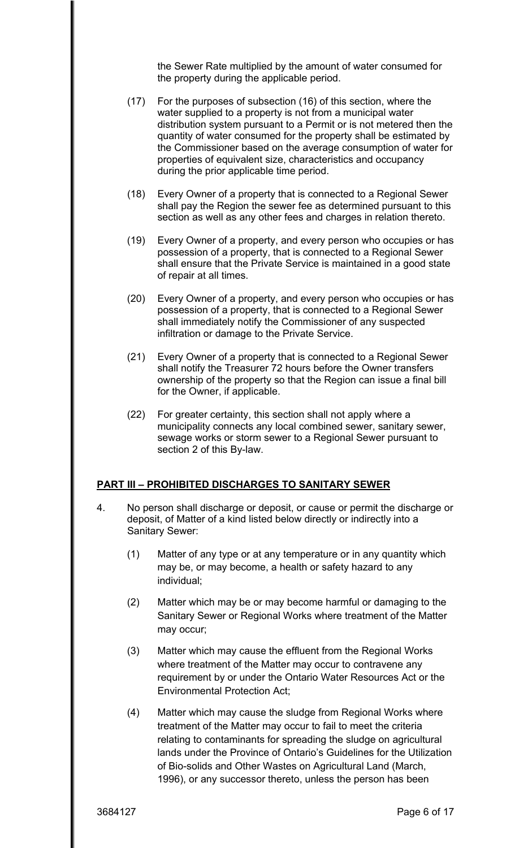the Sewer Rate multiplied by the amount of water consumed for the property during the applicable period.

- (17) For the purposes of subsection (16) of this section, where the water supplied to a property is not from a municipal water distribution system pursuant to a Permit or is not metered then the quantity of water consumed for the property shall be estimated by the Commissioner based on the average consumption of water for properties of equivalent size, characteristics and occupancy during the prior applicable time period.
- (18) Every Owner of a property that is connected to a Regional Sewer shall pay the Region the sewer fee as determined pursuant to this section as well as any other fees and charges in relation thereto.
- (19) Every Owner of a property, and every person who occupies or has possession of a property, that is connected to a Regional Sewer shall ensure that the Private Service is maintained in a good state of repair at all times.
- (20) Every Owner of a property, and every person who occupies or has possession of a property, that is connected to a Regional Sewer shall immediately notify the Commissioner of any suspected infiltration or damage to the Private Service.
- (21) Every Owner of a property that is connected to a Regional Sewer shall notify the Treasurer 72 hours before the Owner transfers ownership of the property so that the Region can issue a final bill for the Owner, if applicable.
- (22) For greater certainty, this section shall not apply where a municipality connects any local combined sewer, sanitary sewer, sewage works or storm sewer to a Regional Sewer pursuant to section 2 of this By-law.

#### **PART III – PROHIBITED DISCHARGES TO SANITARY SEWER**

- 4. No person shall discharge or deposit, or cause or permit the discharge or deposit, of Matter of a kind listed below directly or indirectly into a Sanitary Sewer:
	- (1) Matter of any type or at any temperature or in any quantity which may be, or may become, a health or safety hazard to any individual;
	- (2) Matter which may be or may become harmful or damaging to the Sanitary Sewer or Regional Works where treatment of the Matter may occur;
	- (3) Matter which may cause the effluent from the Regional Works where treatment of the Matter may occur to contravene any requirement by or under the Ontario Water Resources Act or the Environmental Protection Act;
	- (4) Matter which may cause the sludge from Regional Works where treatment of the Matter may occur to fail to meet the criteria relating to contaminants for spreading the sludge on agricultural lands under the Province of Ontario's Guidelines for the Utilization of Bio-solids and Other Wastes on Agricultural Land (March, 1996), or any successor thereto, unless the person has been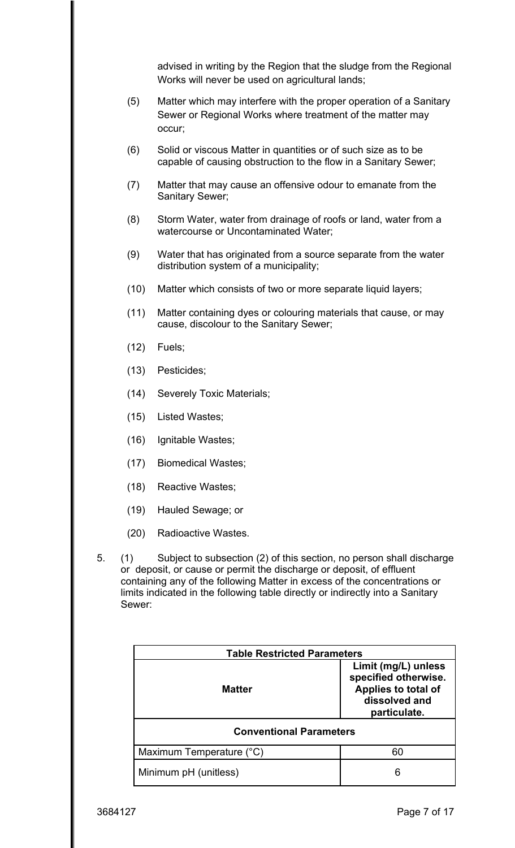advised in writing by the Region that the sludge from the Regional Works will never be used on agricultural lands;

- (5) Matter which may interfere with the proper operation of a Sanitary Sewer or Regional Works where treatment of the matter may occur;
- (6) Solid or viscous Matter in quantities or of such size as to be capable of causing obstruction to the flow in a Sanitary Sewer;
- (7) Matter that may cause an offensive odour to emanate from the Sanitary Sewer;
- (8) Storm Water, water from drainage of roofs or land, water from a watercourse or Uncontaminated Water;
- (9) Water that has originated from a source separate from the water distribution system of a municipality;
- (10) Matter which consists of two or more separate liquid layers;
- (11) Matter containing dyes or colouring materials that cause, or may cause, discolour to the Sanitary Sewer;
- (12) Fuels;
- (13) Pesticides;
- (14) Severely Toxic Materials;
- (15) Listed Wastes;
- (16) Ignitable Wastes;
- (17) Biomedical Wastes;
- (18) Reactive Wastes;
- (19) Hauled Sewage; or
- (20) Radioactive Wastes.
- 5. (1) Subject to subsection (2) of this section, no person shall discharge or deposit, or cause or permit the discharge or deposit, of effluent containing any of the following Matter in excess of the concentrations or limits indicated in the following table directly or indirectly into a Sanitary Sewer:

| <b>Table Restricted Parameters</b> |                                                                                                     |  |
|------------------------------------|-----------------------------------------------------------------------------------------------------|--|
| <b>Matter</b>                      | Limit (mg/L) unless<br>specified otherwise.<br>Applies to total of<br>dissolved and<br>particulate. |  |
| <b>Conventional Parameters</b>     |                                                                                                     |  |
| Maximum Temperature (°C)           | 60                                                                                                  |  |
| Minimum pH (unitless)              | 6                                                                                                   |  |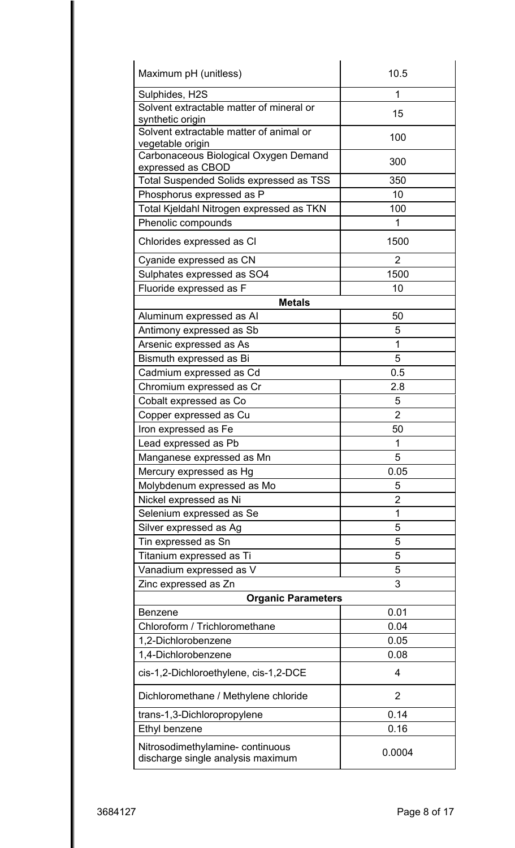| Maximum pH (unitless)                                                 | 10.5           |  |
|-----------------------------------------------------------------------|----------------|--|
| Sulphides, H2S                                                        | 1              |  |
| Solvent extractable matter of mineral or<br>synthetic origin          | 15             |  |
| Solvent extractable matter of animal or<br>vegetable origin           | 100            |  |
| Carbonaceous Biological Oxygen Demand<br>expressed as CBOD            | 300            |  |
| <b>Total Suspended Solids expressed as TSS</b>                        | 350            |  |
| Phosphorus expressed as P                                             | 10             |  |
| Total Kjeldahl Nitrogen expressed as TKN                              | 100            |  |
| Phenolic compounds                                                    | 1              |  |
| Chlorides expressed as CI                                             | 1500           |  |
| Cyanide expressed as CN                                               | $\overline{2}$ |  |
| Sulphates expressed as SO4                                            | 1500           |  |
| Fluoride expressed as F                                               | 10             |  |
| <b>Metals</b>                                                         |                |  |
| Aluminum expressed as Al                                              | 50             |  |
| Antimony expressed as Sb                                              | 5              |  |
| Arsenic expressed as As                                               | 1              |  |
| Bismuth expressed as Bi                                               | 5              |  |
| Cadmium expressed as Cd                                               | 0.5            |  |
| Chromium expressed as Cr                                              | 2.8            |  |
| Cobalt expressed as Co                                                | 5              |  |
| Copper expressed as Cu                                                | $\overline{2}$ |  |
| Iron expressed as Fe                                                  | 50             |  |
| Lead expressed as Pb                                                  | 1              |  |
| Manganese expressed as Mn                                             | 5              |  |
| Mercury expressed as Hg                                               | 0.05           |  |
| Molybdenum expressed as Mo                                            | 5              |  |
| Nickel expressed as Ni                                                | $\overline{2}$ |  |
| Selenium expressed as Se                                              | 1              |  |
| Silver expressed as Ag                                                | 5              |  |
| Tin expressed as Sn                                                   | 5              |  |
| Titanium expressed as Ti                                              | 5              |  |
| Vanadium expressed as V                                               | 5              |  |
| Zinc expressed as Zn                                                  | 3              |  |
| <b>Organic Parameters</b>                                             |                |  |
| <b>Benzene</b>                                                        | 0.01           |  |
| Chloroform / Trichloromethane                                         | 0.04           |  |
| 1,2-Dichlorobenzene                                                   | 0.05           |  |
| 1,4-Dichlorobenzene                                                   | 0.08           |  |
| cis-1,2-Dichloroethylene, cis-1,2-DCE                                 | $\overline{4}$ |  |
| Dichloromethane / Methylene chloride                                  | $\overline{2}$ |  |
| trans-1,3-Dichloropropylene                                           | 0.14           |  |
| Ethyl benzene                                                         | 0.16           |  |
| Nitrosodimethylamine- continuous<br>discharge single analysis maximum | 0.0004         |  |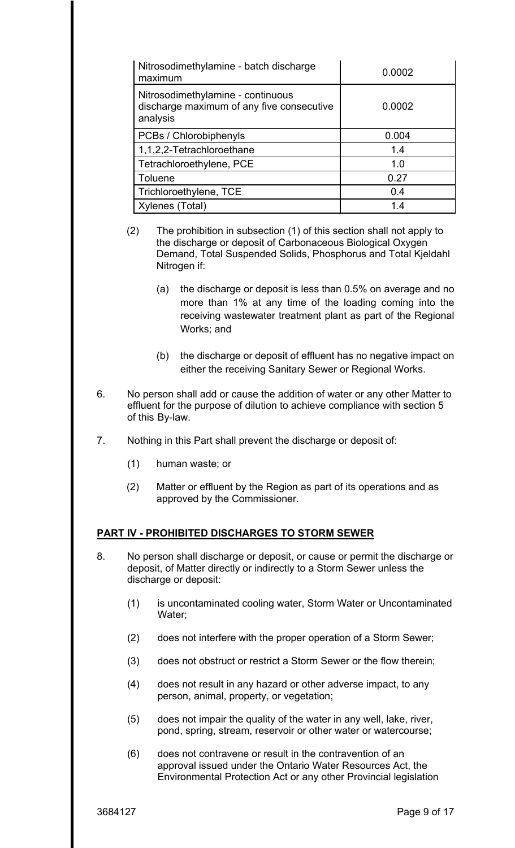| Nitrosodimethylamine - batch discharge<br>maximum                                          | 0.0002 |
|--------------------------------------------------------------------------------------------|--------|
| Nitrosodimethylamine - continuous<br>discharge maximum of any five consecutive<br>analysis | 0.0002 |
| PCBs / Chlorobiphenyls                                                                     | 0.004  |
| 1,1,2,2-Tetrachloroethane                                                                  | 1.4    |
| Tetrachloroethylene, PCE                                                                   | 1.0    |
| Toluene                                                                                    | 0.27   |
| Trichloroethylene, TCE                                                                     | 0.4    |
| Xylenes (Total)                                                                            | 14     |

- (2) The prohibition in subsection (1) of this section shall not apply to the discharge or deposit of Carbonaceous Biological Oxygen Demand, Total Suspended Solids, Phosphorus and Total Kjeldahl Nitrogen if:
	- Works: and (a) the discharge or deposit is less than 0.5% on average and no more than 1% at any time of the loading coming into the receiving wastewater treatment plant as part of the Regional
	- Works; and<br>(b) the discharge or deposit of effluent has no negative impact on either the receiving Sanitary Sewer or Regional Works.
- 6. No person shall add or cause the addition of water or any other Matter to effluent for the purpose of dilution to achieve compliance with section 5 of this By-law.
- 7. Nothing in this Part shall prevent the discharge or deposit of:
	- (1) human waste; or
	- (2) Matter or effluent by the Region as part of its operations and as approved by the Commissioner.

# **PART IV - PROHIBITED DISCHARGES TO STORM SEWER**

- 8. No person shall discharge or deposit, or cause or permit the discharge or deposit, of Matter directly or indirectly to a Storm Sewer unless the discharge or deposit:
	- (1) is uncontaminated cooling water, Storm Water or Uncontaminated Water;
	- (2) does not interfere with the proper operation of a Storm Sewer;
	- (3) does not obstruct or restrict a Storm Sewer or the flow therein;
	- (4) does not result in any hazard or other adverse impact, to any person, animal, property, or vegetation;
	- (5) does not impair the quality of the water in any well, lake, river, pond, spring, stream, reservoir or other water or watercourse;
	- (6) does not contravene or result in the contravention of an approval issued under the Ontario Water Resources Act, the Environmental Protection Act or any other Provincial legislation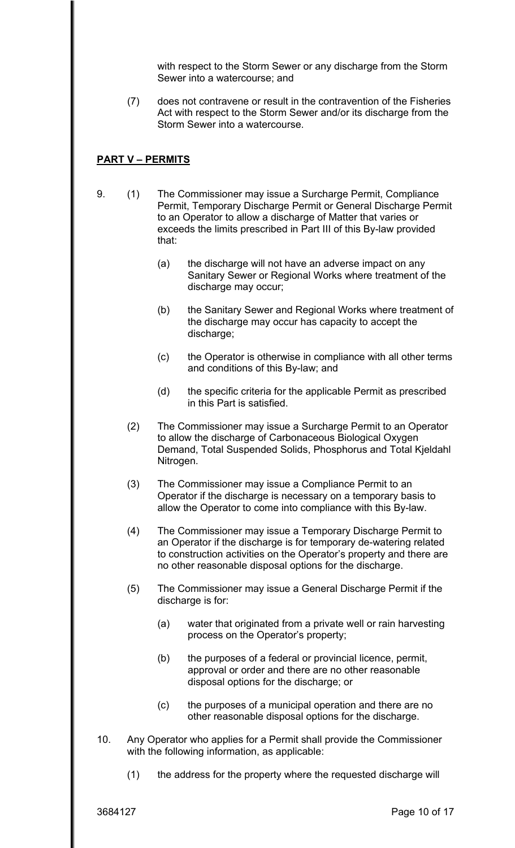with respect to the Storm Sewer or any discharge from the Storm Sewer into a watercourse; and

does not contravene or result in the contravention of the Fisheries (7) does not contravene or result in the contravention of the Fisheries Act with respect to the Storm Sewer and/or its discharge from the Storm Sewer into a watercourse.

## **PART V – PERMITS**

- 9. (1) The Commissioner may issue a Surcharge Permit, Compliance Permit, Temporary Discharge Permit or General Discharge Permit to an Operator to allow a discharge of Matter that varies or exceeds the limits prescribed in Part III of this By-law provided that:
	- (a) the discharge will not have an adverse impact on any Sanitary Sewer or Regional Works where treatment of the discharge may occur;
	- (b) the Sanitary Sewer and Regional Works where treatment of the discharge may occur has capacity to accept the discharge;
	- (c) the Operator is otherwise in compliance with all other terms and conditions of this By-law; and
	- (d) the specific criteria for the applicable Permit as prescribed in this Part is satisfied.
	- (2) The Commissioner may issue a Surcharge Permit to an Operator to allow the discharge of Carbonaceous Biological Oxygen Demand, Total Suspended Solids, Phosphorus and Total Kjeldahl Nitrogen.
	- (3) The Commissioner may issue a Compliance Permit to an Operator if the discharge is necessary on a temporary basis to allow the Operator to come into compliance with this By-law.
	- (4) The Commissioner may issue a Temporary Discharge Permit to an Operator if the discharge is for temporary de-watering related to construction activities on the Operator's property and there are no other reasonable disposal options for the discharge.
	- (5) The Commissioner may issue a General Discharge Permit if the discharge is for:
		- (a) water that originated from a private well or rain harvesting process on the Operator's property;
		- (b) the purposes of a federal or provincial licence, permit, approval or order and there are no other reasonable disposal options for the discharge; or
		- (c) the purposes of a municipal operation and there are no other reasonable disposal options for the discharge.
- 10. Any Operator who applies for a Permit shall provide the Commissioner with the following information, as applicable:
	- (1) the address for the property where the requested discharge will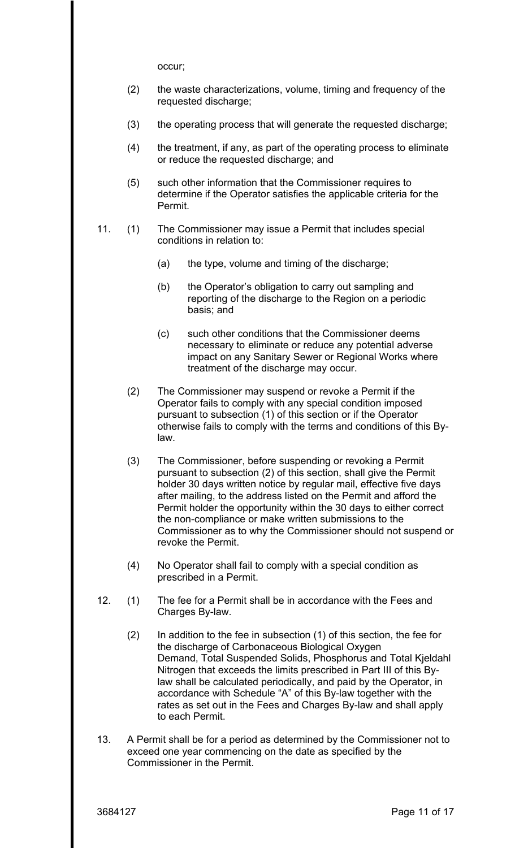occur;

- (2) the waste characterizations, volume, timing and frequency of the requested discharge;
- (3) the operating process that will generate the requested discharge;
- (4) the treatment, if any, as part of the operating process to eliminate or reduce the requested discharge; and
- (5) such other information that the Commissioner requires to determine if the Operator satisfies the applicable criteria for the Permit.
- 11. (1) The Commissioner may issue a Permit that includes special conditions in relation to:
	- (a) the type, volume and timing of the discharge;
	- (b) the Operator's obligation to carry out sampling and reporting of the discharge to the Region on a periodic basis; and
	- (c) such other conditions that the Commissioner deems necessary to eliminate or reduce any potential adverse impact on any Sanitary Sewer or Regional Works where treatment of the discharge may occur.
	- (2) The Commissioner may suspend or revoke a Permit if the Operator fails to comply with any special condition imposed pursuant to subsection (1) of this section or if the Operator otherwise fails to comply with the terms and conditions of this Bylaw.
	- (3) The Commissioner, before suspending or revoking a Permit pursuant to subsection (2) of this section, shall give the Permit holder 30 days written notice by regular mail, effective five days after mailing, to the address listed on the Permit and afford the Permit holder the opportunity within the 30 days to either correct the non-compliance or make written submissions to the Commissioner as to why the Commissioner should not suspend or revoke the Permit.
	- (4) No Operator shall fail to comply with a special condition as prescribed in a Permit.
- 12. (1) The fee for a Permit shall be in accordance with the Fees and Charges By-law.
	- (2) In addition to the fee in subsection (1) of this section, the fee for the discharge of Carbonaceous Biological Oxygen Demand, Total Suspended Solids, Phosphorus and Total Kjeldahl Nitrogen that exceeds the limits prescribed in Part III of this Bylaw shall be calculated periodically, and paid by the Operator, in accordance with Schedule "A" of this By-law together with the rates as set out in the Fees and Charges By-law and shall apply to each Permit.
- 13. A Permit shall be for a period as determined by the Commissioner not to exceed one year commencing on the date as specified by the Commissioner in the Permit.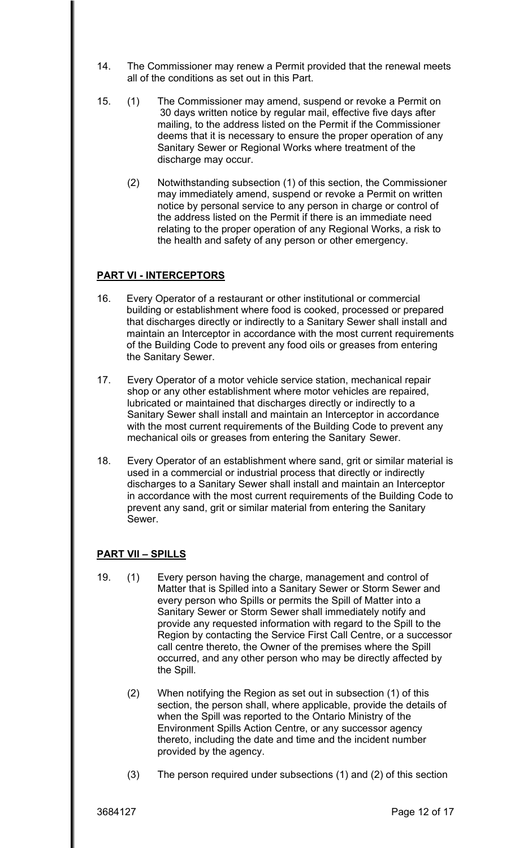- 14. The Commissioner may renew a Permit provided that the renewal meets all of the conditions as set out in this Part.
- 15. (1) The Commissioner may amend, suspend or revoke a Permit on 30 days written notice by regular mail, effective five days after mailing, to the address listed on the Permit if the Commissioner deems that it is necessary to ensure the proper operation of any Sanitary Sewer or Regional Works where treatment of the discharge may occur.
	- (2) Notwithstanding subsection (1) of this section, the Commissioner may immediately amend, suspend or revoke a Permit on written notice by personal service to any person in charge or control of the address listed on the Permit if there is an immediate need relating to the proper operation of any Regional Works, a risk to the health and safety of any person or other emergency.

## **PART VI - INTERCEPTORS**

- 16. Every Operator of a restaurant or other institutional or commercial building or establishment where food is cooked, processed or prepared that discharges directly or indirectly to a Sanitary Sewer shall install and maintain an Interceptor in accordance with the most current requirements of the Building Code to prevent any food oils or greases from entering the Sanitary Sewer.
- 17. Every Operator of a motor vehicle service station, mechanical repair shop or any other establishment where motor vehicles are repaired, lubricated or maintained that discharges directly or indirectly to a Sanitary Sewer shall install and maintain an Interceptor in accordance with the most current requirements of the Building Code to prevent any mechanical oils or greases from entering the Sanitary Sewer.
- 18. Every Operator of an establishment where sand, grit or similar material is used in a commercial or industrial process that directly or indirectly discharges to a Sanitary Sewer shall install and maintain an Interceptor in accordance with the most current requirements of the Building Code to prevent any sand, grit or similar material from entering the Sanitary Sewer.

#### **PART VII – SPILLS**

- 19. (1) Every person having the charge, management and control of Matter that is Spilled into a Sanitary Sewer or Storm Sewer and every person who Spills or permits the Spill of Matter into a Sanitary Sewer or Storm Sewer shall immediately notify and provide any requested information with regard to the Spill to the Region by contacting the Service First Call Centre, or a successor call centre thereto, the Owner of the premises where the Spill occurred, and any other person who may be directly affected by the Spill.
	- (2) When notifying the Region as set out in subsection (1) of this section, the person shall, where applicable, provide the details of when the Spill was reported to the Ontario Ministry of the Environment Spills Action Centre, or any successor agency thereto, including the date and time and the incident number provided by the agency.
	- (3) The person required under subsections (1) and (2) of this section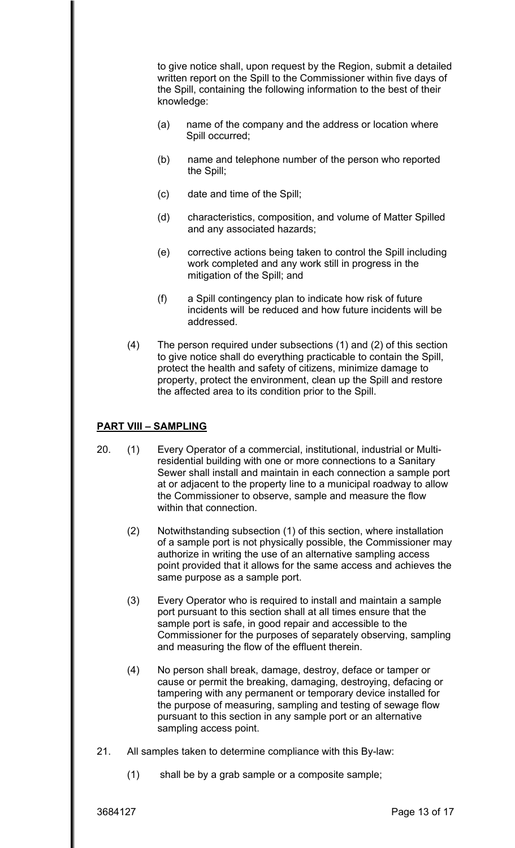knowledge: to give notice shall, upon request by the Region, submit a detailed written report on the Spill to the Commissioner within five days of the Spill, containing the following information to the best of their

- $(a)$  name of the company and the address or location where Spill occurred;
- (b) name and telephone number of the person who reported the Spill;
- (c) date and time of the Spill;
- (d) characteristics, composition, and volume of Matter Spilled and any associated hazards;
- (e) corrective actions being taken to control the Spill including work completed and any work still in progress in the mitigation of the Spill; and
- (f) a Spill contingency plan to indicate how risk of future incidents will be reduced and how future incidents will be addressed.
- (4) The person required under subsections (1) and (2) of this section to give notice shall do everything practicable to contain the Spill, protect the health and safety of citizens, minimize damage to property, protect the environment, clean up the Spill and restore the affected area to its condition prior to the Spill.

# **PART VIII – SAMPLING**

- 20. (1) Every Operator of a commercial, institutional, industrial or Multiresidential building with one or more connections to a Sanitary Sewer shall install and maintain in each connection a sample port at or adjacent to the property line to a municipal roadway to allow the Commissioner to observe, sample and measure the flow within that connection.
	- (2) Notwithstanding subsection (1) of this section, where installation of a sample port is not physically possible, the Commissioner may authorize in writing the use of an alternative sampling access point provided that it allows for the same access and achieves the same purpose as a sample port.
	- (3) Every Operator who is required to install and maintain a sample port pursuant to this section shall at all times ensure that the sample port is safe, in good repair and accessible to the Commissioner for the purposes of separately observing, sampling and measuring the flow of the effluent therein.
	- (4) No person shall break, damage, destroy, deface or tamper or cause or permit the breaking, damaging, destroying, defacing or tampering with any permanent or temporary device installed for the purpose of measuring, sampling and testing of sewage flow pursuant to this section in any sample port or an alternative sampling access point.
- 21. All samples taken to determine compliance with this By-law:
	- (1) shall be by a grab sample or a composite sample;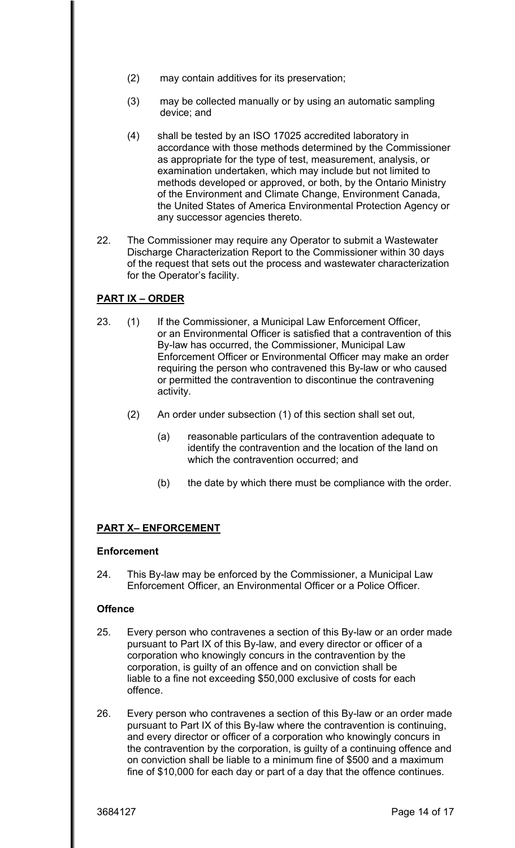- (2) may contain additives for its preservation;
- (3) may be collected manually or by using an automatic sampling device; and
- (4) shall be tested by an ISO 17025 accredited laboratory in accordance with those methods determined by the Commissioner as appropriate for the type of test, measurement, analysis, or examination undertaken, which may include but not limited to methods developed or approved, or both, by the Ontario Ministry of the Environment and Climate Change, Environment Canada, the United States of America Environmental Protection Agency or any successor agencies thereto.
- 22. The Commissioner may require any Operator to submit a Wastewater Discharge Characterization Report to the Commissioner within 30 days of the request that sets out the process and wastewater characterization for the Operator's facility.

# **PART IX – ORDER**

- 23. (1) If the Commissioner, a Municipal Law Enforcement Officer, or an Environmental Officer is satisfied that a contravention of this By-law has occurred, the Commissioner, Municipal Law Enforcement Officer or Environmental Officer may make an order requiring the person who contravened this By-law or who caused or permitted the contravention to discontinue the contravening activity.
	- (2) An order under subsection (1) of this section shall set out,
		- (a) reasonable particulars of the contravention adequate to identify the contravention and the location of the land on which the contravention occurred; and
		- (b) the date by which there must be compliance with the order.

# **PART X– ENFORCEMENT**

#### **Enforcement**

24. This By-law may be enforced by the Commissioner, a Municipal Law Enforcement Officer, an Environmental Officer or a Police Officer.

#### **Offence**

- 25. Every person who contravenes a section of this By-law or an order made pursuant to Part IX of this By-law, and every director or officer of a corporation who knowingly concurs in the contravention by the corporation, is guilty of an offence and on conviction shall be liable to a fine not exceeding \$50,000 exclusive of costs for each offence.
- 26. Every person who contravenes a section of this By-law or an order made pursuant to Part IX of this By-law where the contravention is continuing, and every director or officer of a corporation who knowingly concurs in the contravention by the corporation, is guilty of a continuing offence and on conviction shall be liable to a minimum fine of \$500 and a maximum fine of \$10,000 for each day or part of a day that the offence continues.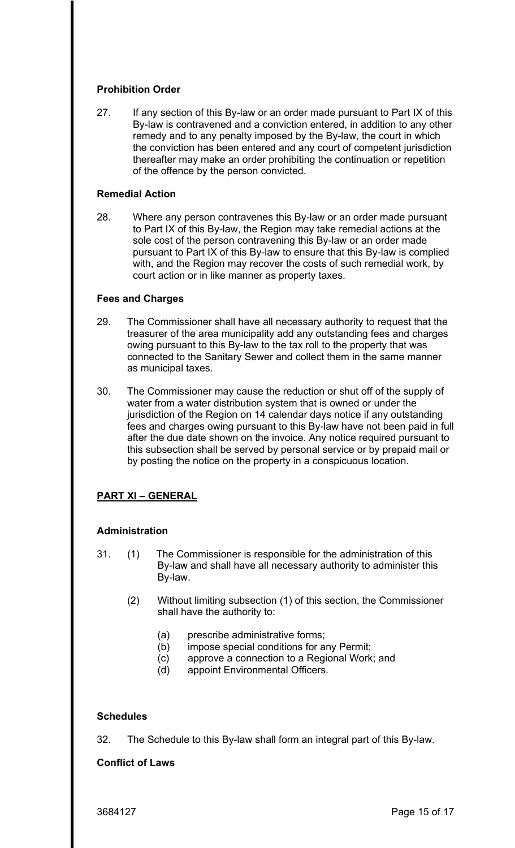## **Prohibition Order**

27. If any section of this By-law or an order made pursuant to Part IX of this By-law is contravened and a conviction entered, in addition to any other remedy and to any penalty imposed by the By-law, the court in which the conviction has been entered and any court of competent jurisdiction thereafter may make an order prohibiting the continuation or repetition of the offence by the person convicted.

#### **Remedial Action**

28. Where any person contravenes this By-law or an order made pursuant to Part IX of this By-law, the Region may take remedial actions at the sole cost of the person contravening this By-law or an order made pursuant to Part IX of this By-law to ensure that this By-law is complied with, and the Region may recover the costs of such remedial work, by court action or in like manner as property taxes.

#### **Fees and Charges**

- 29. The Commissioner shall have all necessary authority to request that the treasurer of the area municipality add any outstanding fees and charges owing pursuant to this By-law to the tax roll to the property that was connected to the Sanitary Sewer and collect them in the same manner as municipal taxes.
- 30. The Commissioner may cause the reduction or shut off of the supply of water from a water distribution system that is owned or under the jurisdiction of the Region on 14 calendar days notice if any outstanding fees and charges owing pursuant to this By-law have not been paid in full after the due date shown on the invoice. Any notice required pursuant to this subsection shall be served by personal service or by prepaid mail or by posting the notice on the property in a conspicuous location.

# **PART XI – GENERAL**

#### **Administration**

- 31. (1) The Commissioner is responsible for the administration of this By-law and shall have all necessary authority to administer this By-law.
	- (2) Without limiting subsection (1) of this section, the Commissioner shall have the authority to:
		- (a) prescribe administrative forms;
		- (b) impose special conditions for any Permit;
		- (c) approve a connection to a Regional Work; and
		- (d) appoint Environmental Officers.

#### **Schedules**

32. The Schedule to this By-law shall form an integral part of this By-law.

#### **Conflict of Laws**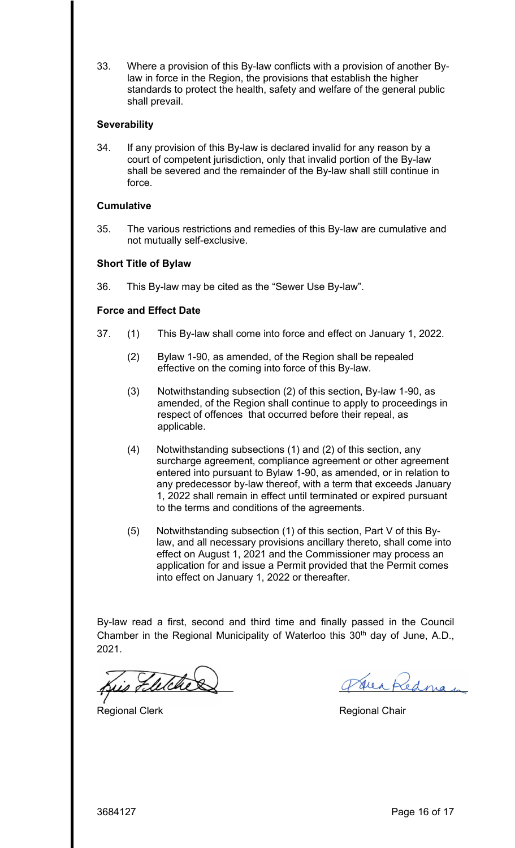33. Where a provision of this By-law conflicts with a provision of another Bylaw in force in the Region, the provisions that establish the higher standards to protect the health, safety and welfare of the general public shall prevail.

#### **Severability**

34. If any provision of this By-law is declared invalid for any reason by a court of competent jurisdiction, only that invalid portion of the By-law shall be severed and the remainder of the By-law shall still continue in force.

#### **Cumulative**

35. The various restrictions and remedies of this By-law are cumulative and not mutually self-exclusive.

#### **Short Title of Bylaw**

36. This By-law may be cited as the "Sewer Use By-law".

#### **Force and Effect Date**

- 37. (1) This By-law shall come into force and effect on January 1, 2022.
	- (2) Bylaw 1-90, as amended, of the Region shall be repealed effective on the coming into force of this By-law.
	- (3) Notwithstanding subsection (2) of this section, By-law 1-90, as amended, of the Region shall continue to apply to proceedings in respect of offences that occurred before their repeal, as applicable.
	- (4) Notwithstanding subsections (1) and (2) of this section, any surcharge agreement, compliance agreement or other agreement entered into pursuant to Bylaw 1-90, as amended, or in relation to any predecessor by-law thereof, with a term that exceeds January 1, 2022 shall remain in effect until terminated or expired pursuant to the terms and conditions of the agreements.
	- (5) Notwithstanding subsection (1) of this section, Part V of this Bylaw, and all necessary provisions ancillary thereto, shall come into effect on August 1, 2021 and the Commissioner may process an application for and issue a Permit provided that the Permit comes into effect on January 1, 2022 or thereafter.

By-law read a first, second and third time and finally passed in the Council Chamber in the Regional Municipality of Waterloo this  $30<sup>th</sup>$  day of June, A.D., 2021.

is Fletche

Regional Clerk **Regional Chair** 

Jeapednan